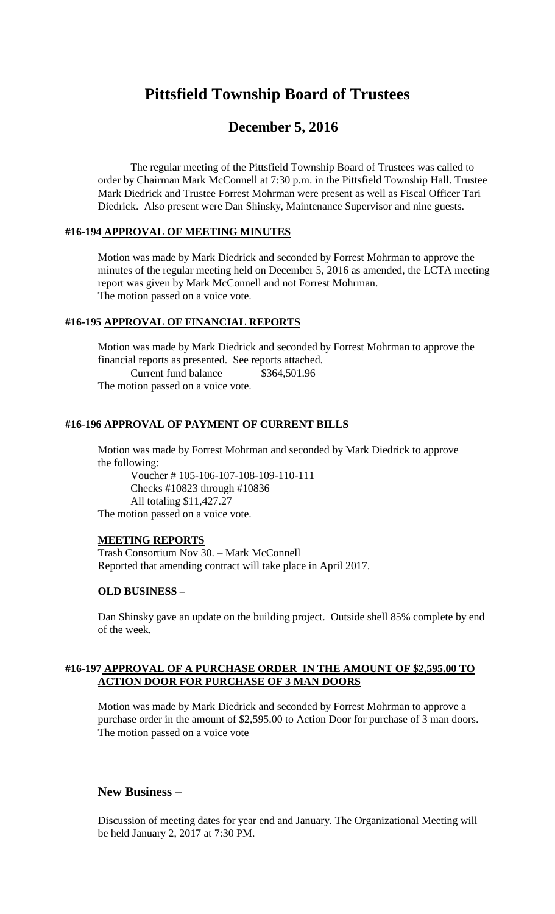# **Pittsfield Township Board of Trustees**

## **December 5, 2016**

The regular meeting of the Pittsfield Township Board of Trustees was called to order by Chairman Mark McConnell at 7:30 p.m. in the Pittsfield Township Hall. Trustee Mark Diedrick and Trustee Forrest Mohrman were present as well as Fiscal Officer Tari Diedrick. Also present were Dan Shinsky, Maintenance Supervisor and nine guests.

#### **#16-194 APPROVAL OF MEETING MINUTES**

Motion was made by Mark Diedrick and seconded by Forrest Mohrman to approve the minutes of the regular meeting held on December 5, 2016 as amended, the LCTA meeting report was given by Mark McConnell and not Forrest Mohrman. The motion passed on a voice vote.

#### **#16-195 APPROVAL OF FINANCIAL REPORTS**

Motion was made by Mark Diedrick and seconded by Forrest Mohrman to approve the financial reports as presented. See reports attached. Current fund balance \$364,501.96 The motion passed on a voice vote.

#### **#16-196 APPROVAL OF PAYMENT OF CURRENT BILLS**

Motion was made by Forrest Mohrman and seconded by Mark Diedrick to approve the following:

Voucher # 105-106-107-108-109-110-111 Checks #10823 through #10836 All totaling \$11,427.27 The motion passed on a voice vote.

## **MEETING REPORTS**

Trash Consortium Nov 30. – Mark McConnell Reported that amending contract will take place in April 2017.

#### **OLD BUSINESS –**

Dan Shinsky gave an update on the building project. Outside shell 85% complete by end of the week.

#### **#16-197 APPROVAL OF A PURCHASE ORDER IN THE AMOUNT OF \$2,595.00 TO ACTION DOOR FOR PURCHASE OF 3 MAN DOORS**

Motion was made by Mark Diedrick and seconded by Forrest Mohrman to approve a purchase order in the amount of \$2,595.00 to Action Door for purchase of 3 man doors. The motion passed on a voice vote

## **New Business –**

Discussion of meeting dates for year end and January. The Organizational Meeting will be held January 2, 2017 at 7:30 PM.